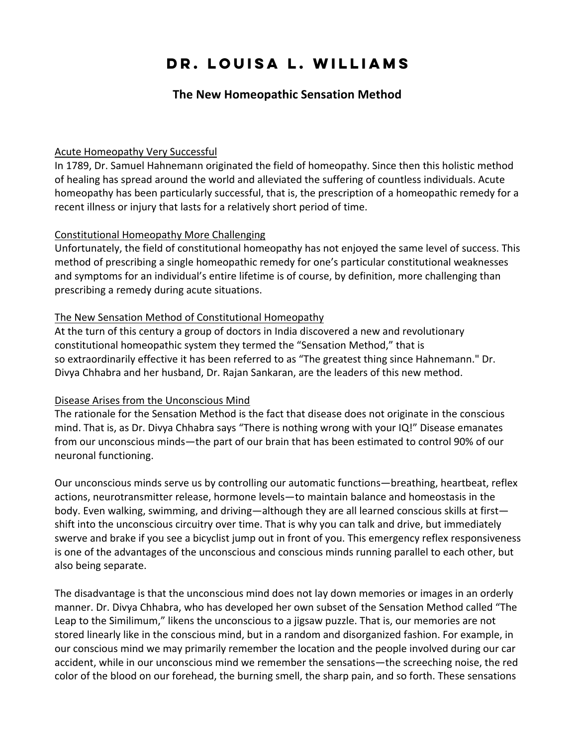# **Dr. Louisa L. Williams**

## **The New Homeopathic Sensation Method**

#### Acute Homeopathy Very Successful

In 1789, Dr. Samuel Hahnemann originated the field of homeopathy. Since then this holistic method of healing has spread around the world and alleviated the suffering of countless individuals. Acute homeopathy has been particularly successful, that is, the prescription of a homeopathic remedy for a recent illness or injury that lasts for a relatively short period of time.

#### Constitutional Homeopathy More Challenging

Unfortunately, the field of constitutional homeopathy has not enjoyed the same level of success. This method of prescribing a single homeopathic remedy for one's particular constitutional weaknesses and symptoms for an individual's entire lifetime is of course, by definition, more challenging than prescribing a remedy during acute situations.

#### The New Sensation Method of Constitutional Homeopathy

At the turn of this century a group of doctors in India discovered a new and revolutionary constitutional homeopathic system they termed the "Sensation Method," that is so extraordinarily effective it has been referred to as "The greatest thing since Hahnemann." Dr. Divya Chhabra and her husband, Dr. Rajan Sankaran, are the leaders of this new method.

#### Disease Arises from the Unconscious Mind

The rationale for the Sensation Method is the fact that disease does not originate in the conscious mind. That is, as Dr. Divya Chhabra says "There is nothing wrong with your IQ!" Disease emanates from our unconscious minds—the part of our brain that has been estimated to control 90% of our neuronal functioning.

Our unconscious minds serve us by controlling our automatic functions—breathing, heartbeat, reflex actions, neurotransmitter release, hormone levels—to maintain balance and homeostasis in the body. Even walking, swimming, and driving—although they are all learned conscious skills at first shift into the unconscious circuitry over time. That is why you can talk and drive, but immediately swerve and brake if you see a bicyclist jump out in front of you. This emergency reflex responsiveness is one of the advantages of the unconscious and conscious minds running parallel to each other, but also being separate.

The disadvantage is that the unconscious mind does not lay down memories or images in an orderly manner. Dr. Divya Chhabra, who has developed her own subset of the Sensation Method called "The Leap to the Similimum," likens the unconscious to a jigsaw puzzle. That is, our memories are not stored linearly like in the conscious mind, but in a random and disorganized fashion. For example, in our conscious mind we may primarily remember the location and the people involved during our car accident, while in our unconscious mind we remember the sensations—the screeching noise, the red color of the blood on our forehead, the burning smell, the sharp pain, and so forth. These sensations